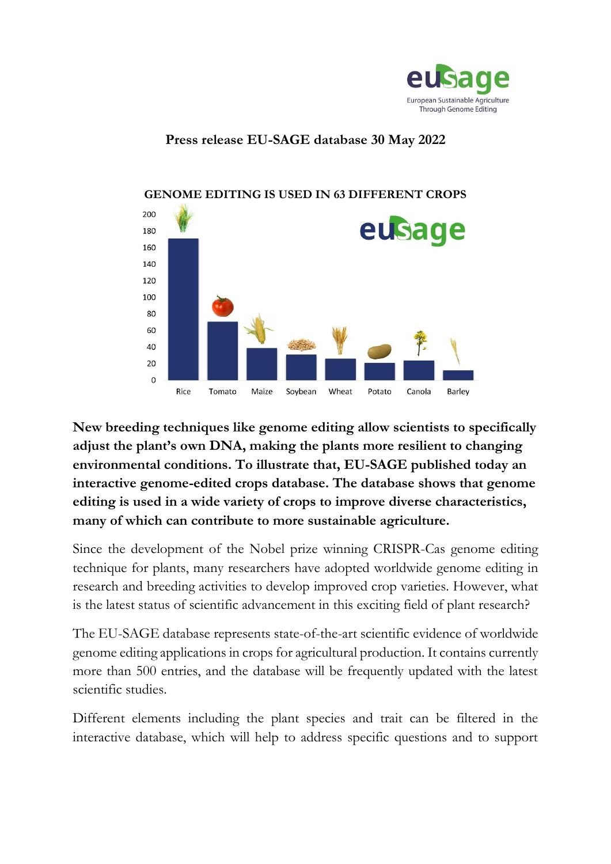

## **Press release EU-SAGE database 30 May 2022**



## **GENOME EDITING IS USED IN 63 DIFFERENT CROPS**

**New breeding techniques like genome editing allow scientists to specifically adjust the plant's own DNA, making the plants more resilient to changing environmental conditions. To illustrate that, EU-SAGE published today an interactive genome-edited crops database. The database shows that genome editing is used in a wide variety of crops to improve diverse characteristics, many of which can contribute to more sustainable agriculture.**

Since the development of the Nobel prize winning CRISPR-Cas genome editing technique for plants, many researchers have adopted worldwide genome editing in research and breeding activities to develop improved crop varieties. However, what is the latest status of scientific advancement in this exciting field of plant research?

The EU-SAGE database represents state-of-the-art scientific evidence of worldwide genome editing applications in crops for agricultural production. It contains currently more than 500 entries, and the database will be frequently updated with the latest scientific studies.

Different elements including the plant species and trait can be filtered in the interactive database, which will help to address specific questions and to support